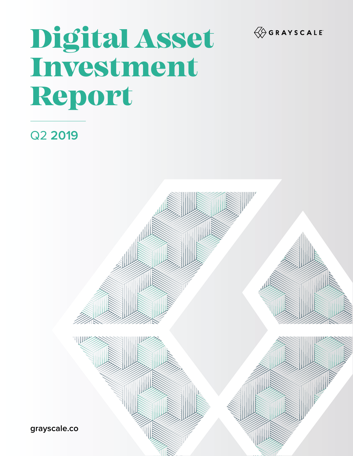

# Digital Asset Investment Report

# Q2 **2019**



**grayscale.co**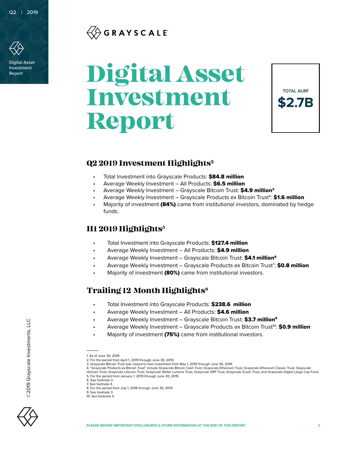

Digital Asset Investment

## GRAYSCALE®

# Report **Digital Asset Investment Report**



## **Q2 2019 Investment Highlights2**

- Total Investment into Grayscale Products: \$84.8 million
- Average Weekly Investment All Products: \$6.5 million
- Average Weekly Investment Grayscale Bitcoin Trust: \$4.9 million<sup>3</sup>
- Average Weekly Investment Grayscale Products ex Bitcoin Trust<sup>4</sup>: \$1.6 million
- Majority of investment (84%) came from institutional investors, dominated by hedge funds.

## **H1 2019 Highlights5**

- Total Investment into Grayscale Products: \$127.4 million
- Average Weekly Investment All Products: \$4.9 million
- Average Weekly Investment Grayscale Bitcoin Trust: \$4.1 million<sup>6</sup>
- Average Weekly Investment Grayscale Products ex Bitcoin Trust<sup>7</sup>: \$0.8 million
- Majority of investment (80%) came from institutional investors.

## **Trailing 12-Month Highlights8**

- Total Investment into Grayscale Products: \$238.6 million
- Average Weekly Investment All Products: \$4.6 million
- Average Weekly Investment Grayscale Bitcoin Trust: \$3.7 million<sup>9</sup>
- Average Weekly Investment Grayscale Products ex Bitcoin Trust<sup>10</sup>: \$0.9 million
- Majority of investment (75%) came from institutional investors.



©2019 Grayscale Investments, LLC

©2019 Grayscale Investments, LLC

<sup>1.</sup> As of June 30, 2019.

<sup>2.</sup> For the period from April 1, 2019 through June 30, 2019.

<sup>3.</sup> Grayscale Bitcoin Trust was closed to new investment from May 1, 2019 through June 30, 2019.

<sup>4. &</sup>quot;Grayscale Products ex Bitcoin Trust" include Grayscale Bitcoin Cash Trust, Grayscale Ethereum Trust, Grayscale Ethereum Classic Trust, Grayscale Horizen Trust, Grayscale Litecoin Trust, Grayscale Stellar Lumens Trust, Grayscale XRP Trust, Grayscale Zcash Trust, and Grayscale Digital Large Cap Fund. 5. For the period from January 1, 2019 through June 30, 2019.

<sup>6.</sup> See footnote 3. 7. See footnote 4.

<sup>8.</sup> For the period from July 1, 2018 through June 30, 2019.

<sup>9.</sup> See footnote 3.

<sup>10.</sup> See footnote 4.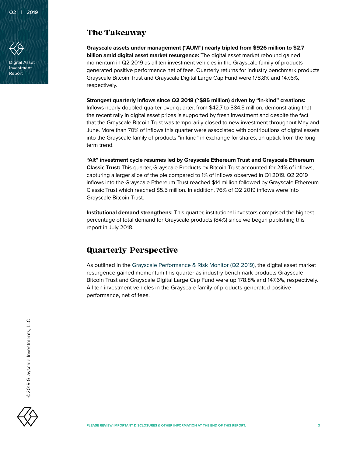

Digital Asset Investment Report

## **The Takeaway**

**Grayscale assets under management ("AUM") nearly tripled from \$926 million to \$2.7 billion amid digital asset market resurgence:** The digital asset market rebound gained momentum in Q2 2019 as all ten investment vehicles in the Grayscale family of products generated positive performance net of fees. Quarterly returns for industry benchmark products Grayscale Bitcoin Trust and Grayscale Digital Large Cap Fund were 178.8% and 147.6%, respectively.

**Strongest quarterly inflows since Q2 2018 (~\$85 million) driven by "in-kind" creations:** 

Inflows nearly doubled quarter-over-quarter, from \$42.7 to \$84.8 million, demonstrating that the recent rally in digital asset prices is supported by fresh investment and despite the fact that the Grayscale Bitcoin Trust was temporarily closed to new investment throughout May and June. More than 70% of inflows this quarter were associated with contributions of digital assets into the Grayscale family of products "in-kind" in exchange for shares, an uptick from the longterm trend.

**"Alt" investment cycle resumes led by Grayscale Ethereum Trust and Grayscale Ethereum Classic Trust:** This quarter, Grayscale Products ex Bitcoin Trust accounted for 24% of inflows, capturing a larger slice of the pie compared to 1% of inflows observed in Q1 2019. Q2 2019 inflows into the Grayscale Ethereum Trust reached \$14 million followed by Grayscale Ethereum Classic Trust which reached \$5.5 million. In addition, 76% of Q2 2019 inflows were into Grayscale Bitcoin Trust.

**Institutional demand strengthens:** This quarter, institutional investors comprised the highest percentage of total demand for Grayscale products (84%) since we began publishing this report in July 2018.

## **Quarterly Perspective**

As outlined in the [Grayscale Performance & Risk Monitor \(Q2 2019\),](https://grayscale.co/insights/) the digital asset market resurgence gained momentum this quarter as industry benchmark products Grayscale Bitcoin Trust and Grayscale Digital Large Cap Fund were up 178.8% and 147.6%, respectively. All ten investment vehicles in the Grayscale family of products generated positive performance, net of fees.

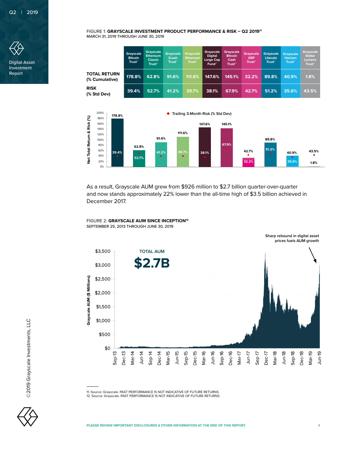

Digital Asset Investment Report

FIGURE 1: **GRAYSCALE INVESTMENT PRODUCT PERFORMANCE & RISK – Q2 201911** MARCH 31, 2019 THROUGH JUNE 30, 2019

|                                       | Grayscale<br><b>Bitcoin</b><br>Trust™ | Grayscale<br><b>Ethereum</b><br><b>Classic</b><br>Trust™ | <b>Grayscale</b><br><b>Zcash</b><br>Trust™ | <b>Grayscale</b><br>Ethereum<br><b>Trust</b> " | Grayscale<br><b>Digital</b><br>Large Cap<br>Fund™ | <b>Grayscale</b><br><b>Bitcoin</b><br>Cash<br>Trust <sup>**</sup> | <b>Grayscale</b><br><b>XRP</b><br>Trust <sup>*</sup> | <b>Gravscale</b><br><b>Litecoin</b><br>Trust <sup>™</sup> | <b>Grayscale</b><br><b>Horizen</b><br>Trust <sup>**</sup> | <b>Grayscale</b><br><b>Stellar</b><br>Lumens<br><b>Trust</b> |
|---------------------------------------|---------------------------------------|----------------------------------------------------------|--------------------------------------------|------------------------------------------------|---------------------------------------------------|-------------------------------------------------------------------|------------------------------------------------------|-----------------------------------------------------------|-----------------------------------------------------------|--------------------------------------------------------------|
| <b>TOTAL RETURN</b><br>(% Cumulative) | 178.8%                                | 62.8%                                                    | 91.6%                                      | 111.6%                                         | 147.6%                                            | 145.1%                                                            | 32.2%                                                | 89.8%                                                     | 40.9%                                                     | 1.8%                                                         |
| <b>RISK</b><br>(% Std Dev)            | 39.4%                                 | 52.7%                                                    | 41.2%                                      | 39.7%                                          | 38.1%                                             | 67.9%                                                             | 42.7%                                                | 51.2%                                                     | 35.6%                                                     | 43.5%                                                        |



As a result, Grayscale AUM grew from \$926 million to \$2.7 billion quarter-over-quarter and now stands approximately 22% lower than the all-time high of \$3.5 billion achieved in December 2017.

FIGURE 2: **GRAYSCALE AUM SINCE INCEPTION12** SEPTEMBER 25, 2013 THROUGH JUNE 30, 2019



11. Source: Grayscale. PAST PERFORMANCE IS NOT INDICATIVE OF FUTURE RETURNS.

12. Source: Grayscale. PAST PERFORMANCE IS NOT INDICATIVE OF FUTURE RETURNS.

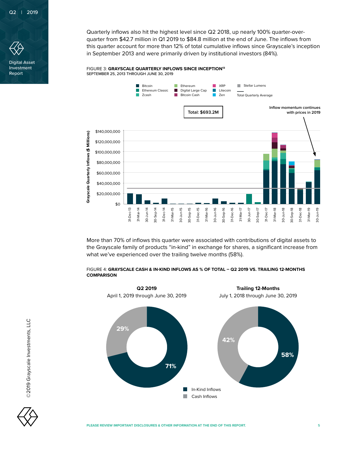

Digital Asset Investment Report

Quarterly inflows also hit the highest level since Q2 2018, up nearly 100% quarter-overquarter from \$42.7 million in Q1 2019 to \$84.8 million at the end of June. The inflows from this quarter account for more than 12% of total cumulative inflows since Grayscale's inception in September 2013 and were primarily driven by institutional investors (84%).

#### FIGURE 3: **GRAYSCALE QUARTERLY INFLOWS SINCE INCEPTION<sup>13</sup>** SEPTEMBER 25, 2013 THROUGH JUNE 30, 2019



More than 70% of inflows this quarter were associated with contributions of digital assets to the Grayscale family of products "in-kind" in exchange for shares, a significant increase from what we've experienced over the trailing twelve months (58%).

## FIGURE 4: **GRAYSCALE CASH & IN-KIND INFLOWS AS % OF TOTAL – Q2 2019 VS. TRAILING 12-MONTHS**



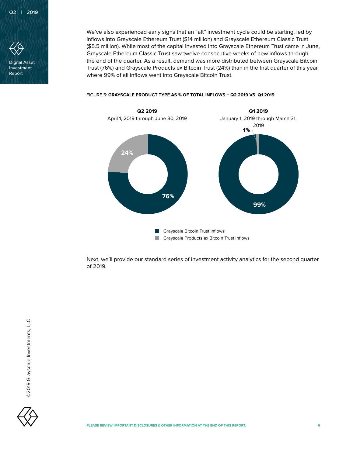

Investment Report

We've also experienced early signs that an "alt" investment cycle could be starting, led by inflows into Grayscale Ethereum Trust (\$14 million) and Grayscale Ethereum Classic Trust (\$5.5 million). While most of the capital invested into Grayscale Ethereum Trust came in June, Grayscale Ethereum Classic Trust saw twelve consecutive weeks of new inflows through the end of the quarter. As a result, demand was more distributed between Grayscale Bitcoin Trust (76%) and Grayscale Products ex Bitcoin Trust (24%) than in the first quarter of this year, where 99% of all inflows went into Grayscale Bitcoin Trust.



FIGURE 5: **GRAYSCALE PRODUCT TYPE AS % OF TOTAL INFLOWS – Q2 2019 VS. Q1 2019**

Next, we'll provide our standard series of investment activity analytics for the second quarter of 2019.

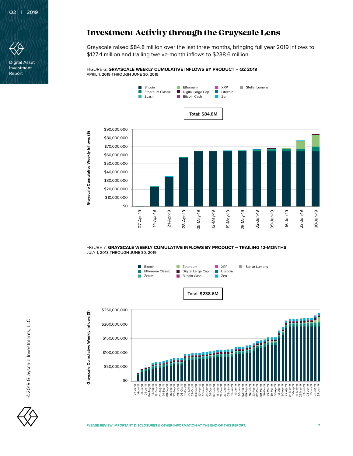

Digital Asset Investment Report

## **Investment Activity through the Grayscale Lens**

Grayscale raised \$84.8 million over the last three months, bringing full year 2019 inflows to \$127.4 million and trailing twelve-month inflows to \$238.6 million.

FIGURE 6: **GRAYSCALE WEEKLY CUMULATIVE INFLOWS BY PRODUCT – Q2 2019** APRIL 1, 2019 THROUGH JUNE 30, 2019



FIGURE 7: **GRAYSCALE WEEKLY CUMULATIVE INFLOWS BY PRODUCT – TRAILING 12-MONTHS** JULY 1, 2018 THROUGH JUNE 30, 2019



\$0 \$0 \$50,000,000 \$50,000,000 \$100,000,000 \$100,000,000 \$150,000,000 \$150,000,000 \$200,000,000 \$200,000,000 07-Jul-18 14-Jul-18 21-Jul-18 28-Jul-18 04-Aug-18 11-Aug-18 18-Aug-18 01-Sep-18 15-Sep-18 13-Oct-18 12-Jan-19 19-Jan-19 06-Apr-19 13-Apr-19 20-Apr-19 27-Apr-19 11-May-19 18-May-19 07-Jul-18 14-Jul-18 21-Jul-18 28-Jul-18 04-Aug-18 11-Aug-18 18-Aug-18 01-Sep-18 15-Sep-18 13-Oct-18 12-Jan-19 19-Jan-19 06-Apr-19 13-Apr-19 20-Apr-19 27-Apr-19 11-May-19 18-May-19 01-Jun-19 15-Jun-19 25-Aug-18 08-Sep-18 22-Sep-18 29-Sep-18 06-Oct-18 20-Oct-18 27-Oct-18 03-Nov-18 10-Nov-18 17-Nov-18 24-Nov-18 01-Dec-18 08-Dec-18 15-Dec-18 22-Dec-18 29-Dec-18 05-Jan-19 26-Jan-19 02-Feb-19 09-Feb-19 16-Feb-19 23-Feb-19 02-Mar-19 09-Mar-19 16-Mar-19 23-Mar-19 30-Mar-19 04-May-19 25-May-19 01-Jun-19 08-Jun-19 15-Jun-19 22-Jun-19 29-Jun-19 25-Aug-18 08-Sep-18 22-Sep-18 29-Sep-18 06-Oct-18 20-Oct-18 27-Oct-18 03-Nov-18 10-Nov-18 17-Nov-18 24-Nov-18 01-Dec-18 08-Dec-18 15-Dec-18 22-Dec-18 29-Dec-18 05-Jan-19 26-Jan-19 02-Feb-19 09-Feb-19 16-Feb-19 23-Feb-19 02-Mar-19 09-Mar-19 16-Mar-19 23-Mar-19 30-Mar-19 04-May-19 25-May-19 08-Jun-19 22-Jun-19 29-Jun-19

©2019 Grayscale Investments, LLC ©2019 Grayscale Investments, LLC **Grayscale Cumulative Weekly Inflows (\$)**

Grayscale Cumulative Weekly Inflows (\$)

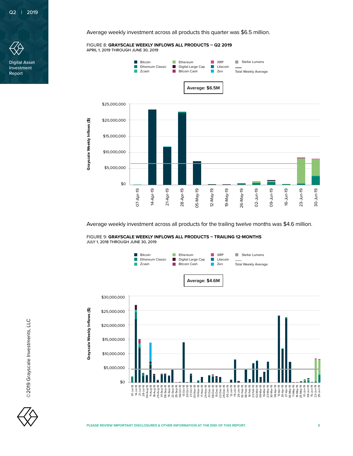

Digital Asset Investment Report

Average weekly investment across all products this quarter was \$6.5 million.

FIGURE 8: **GRAYSCALE WEEKLY INFLOWS ALL PRODUCTS – Q2 2019** APRIL 1, 2019 THROUGH JUNE 30, 2019



Average weekly investment across all products for the trailing twelve months was \$4.6 million.

FIGURE 9: **GRAYSCALE WEEKLY INFLOWS ALL PRODUCTS – TRAILING 12-MONTHS** JULY 1, 2018 THROUGH JUNE 30, 2019



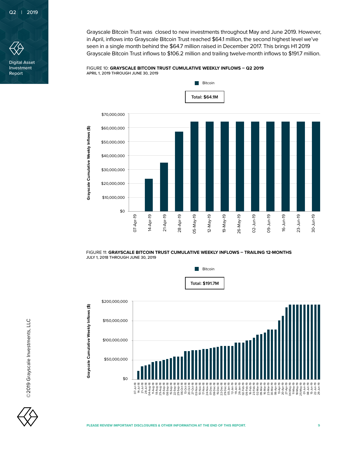

Digital Asset Investment Report

Grayscale Bitcoin Trust was closed to new investments throughout May and June 2019. However, in April, inflows into Grayscale Bitcoin Trust reached \$64.1 million, the second highest level we've seen in a single month behind the \$64.7 million raised in December 2017. This brings H1 2019 Grayscale Bitcoin Trust inflows to \$106.2 million and trailing twelve-month inflows to \$191.7 million.

## FIGURE 10: **GRAYSCALE BITCOIN TRUST CUMULATIVE WEEKLY INFLOWS – Q2 2019** APRIL 1, 2019 THROUGH JUNE 30, 2019



FIGURE 11: **GRAYSCALE BITCOIN TRUST CUMULATIVE WEEKLY INFLOWS – TRAILING 12-MONTHS**



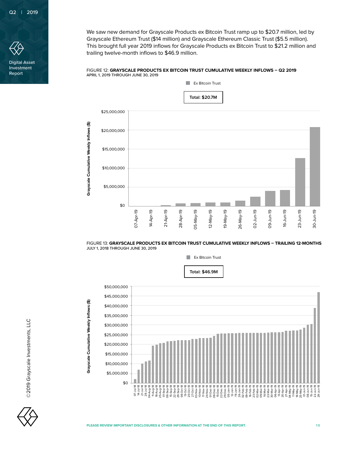

Digital Asset Investment Report

We saw new demand for Grayscale Products ex Bitcoin Trust ramp up to \$20.7 million, led by Grayscale Ethereum Trust (\$14 million) and Grayscale Ethereum Classic Trust (\$5.5 million). This brought full year 2019 inflows for Grayscale Products ex Bitcoin Trust to \$21.2 million and trailing twelve-month inflows to \$46.9 million.

#### FIGURE 12: **GRAYSCALE PRODUCTS EX BITCOIN TRUST CUMULATIVE WEEKLY INFLOWS – Q2 2019** APRIL 1, 2019 THROUGH JUNE 30, 2019



FIGURE 13: **GRAYSCALE PRODUCTS EX BITCOIN TRUST CUMULATIVE WEEKLY INFLOWS – TRAILING 12-MONTHS** JULY 1, 2018 THROUGH JUNE 30, 2019



©2019 Grayscale Investments, LLC

©2019 Grayscale Investments, LLC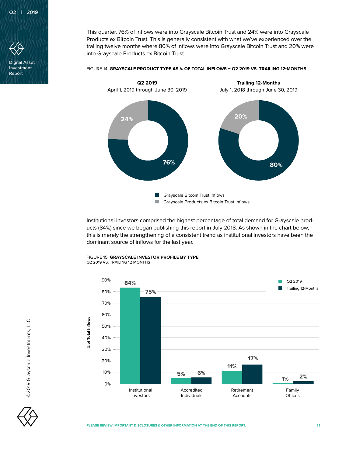

Digital Asset Investment Report

This quarter, 76% of inflows were into Grayscale Bitcoin Trust and 24% were into Grayscale Products ex Bitcoin Trust. This is generally consistent with what we've experienced over the trailing twelve months where 80% of inflows were into Grayscale Bitcoin Trust and 20% were into Grayscale Products ex Bitcoin Trust.



FIGURE 14: **GRAYSCALE PRODUCT TYPE AS % OF TOTAL INFLOWS – Q2 2019 VS. TRAILING 12-MONTHS**

Institutional investors comprised the highest percentage of total demand for Grayscale products (84%) since we began publishing this report in July 2018. As shown in the chart below, this is merely the strengthening of a consistent trend as institutional investors have been the dominant source of inflows for the last year.



FIGURE 15: **GRAYSCALE INVESTOR PROFILE BY TYPE** Q2 2019 VS. TRAILING 12-MONTHS

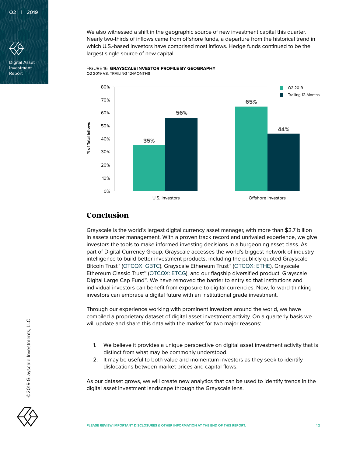

Digital Asset Investment Report

We also witnessed a shift in the geographic source of new investment capital this quarter. Nearly two-thirds of inflows came from offshore funds, a departure from the historical trend in which U.S.-based investors have comprised most inflows. Hedge funds continued to be the largest single source of new capital.



FIGURE 16: **GRAYSCALE INVESTOR PROFILE BY GEOGRAPHY** Q2 2019 VS. TRAILING 12-MONTHS

## **Conclusion**

Grayscale is the world's largest digital currency asset manager, with more than \$2.7 billion in assets under management. With a proven track record and unrivaled experience, we give investors the tools to make informed investing decisions in a burgeoning asset class. As part of Digital Currency Group, Grayscale accesses the world's biggest network of industry intelligence to build better investment products, including the publicly quoted Grayscale Bitcoin Trust<sup>™</sup> ([OTCQX: GBTC](https://www.otcmarkets.com/stock/GBTC/quote)), Grayscale Ethereum Trust<sup>™</sup> [\(OTCQX: ETHE\)](https://www.otcmarkets.com/stock/GBTC/quote), Grayscale Ethereum Classic Trust™ [\(OTCQX: ETCG\)](https://www.otcmarkets.com/stock/ETCG/overview), and our flagship diversified product, Grayscale Digital Large Cap Fund™. We have removed the barrier to entry so that institutions and individual investors can benefit from exposure to digital currencies. Now, forward-thinking investors can embrace a digital future with an institutional grade investment.

Through our experience working with prominent investors around the world, we have compiled a proprietary dataset of digital asset investment activity. On a quarterly basis we will update and share this data with the market for two major reasons:

- 1. We believe it provides a unique perspective on digital asset investment activity that is distinct from what may be commonly understood.
- 2. It may be useful to both value and momentum investors as they seek to identify dislocations between market prices and capital flows.

As our dataset grows, we will create new analytics that can be used to identify trends in the digital asset investment landscape through the Grayscale lens.



©2019 Grayscale Investments, LLC

©2019 Grayscale Investments, LLC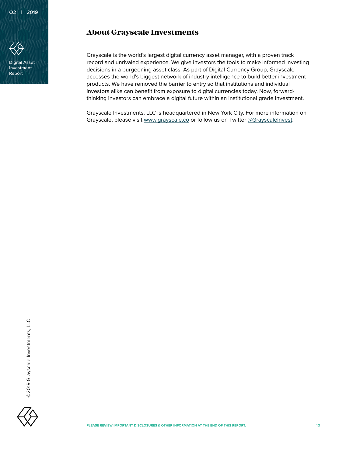

Digital Asset Investment Report

## **About Grayscale Investments**

Grayscale is the world's largest digital currency asset manager, with a proven track record and unrivaled experience. We give investors the tools to make informed investing decisions in a burgeoning asset class. As part of Digital Currency Group, Grayscale accesses the world's biggest network of industry intelligence to build better investment products. We have removed the barrier to entry so that institutions and individual investors alike can benefit from exposure to digital currencies today. Now, forwardthinking investors can embrace a digital future within an institutional grade investment.

Grayscale Investments, LLC is headquartered in New York City. For more information on Grayscale, please visit [www.grayscale.co](http://www.grayscale.co) or follow us on Twitter [@GrayscaleInvest](https://twitter.com/GrayscaleInvest).

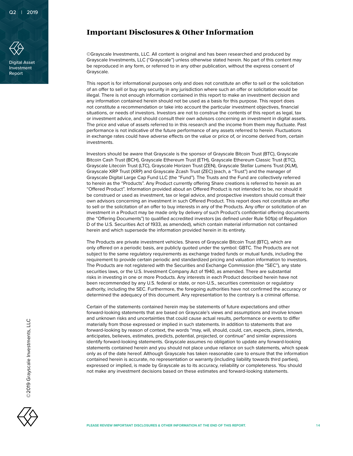

Digital Asset Investment Report

## **Important Disclosures & Other Information**

©Grayscale Investments, LLC. All content is original and has been researched and produced by Grayscale Investments, LLC ("Grayscale") unless otherwise stated herein. No part of this content may be reproduced in any form, or referred to in any other publication, without the express consent of Grayscale.

This report is for informational purposes only and does not constitute an offer to sell or the solicitation of an offer to sell or buy any security in any jurisdiction where such an offer or solicitation would be illegal. There is not enough information contained in this report to make an investment decision and any information contained herein should not be used as a basis for this purpose. This report does not constitute a recommendation or take into account the particular investment objectives, financial situations, or needs of investors. Investors are not to construe the contents of this report as legal, tax or investment advice, and should consult their own advisors concerning an investment in digital assets. The price and value of assets referred to in this research and the income from them may fluctuate. Past performance is not indicative of the future performance of any assets referred to herein. Fluctuations in exchange rates could have adverse effects on the value or price of, or income derived from, certain investments.

Investors should be aware that Grayscale is the sponsor of Grayscale Bitcoin Trust (BTC), Grayscale Bitcoin Cash Trust (BCH), Grayscale Ethereum Trust (ETH), Grayscale Ethereum Classic Trust (ETC), Grayscale Litecoin Trust (LTC), Grayscale Horizen Trust (ZEN), Grayscale Stellar Lumens Trust (XLM), Grayscale XRP Trust (XRP) and Grayscale Zcash Trust (ZEC) (each, a "Trust") and the manager of Grayscale Digital Large Cap Fund LLC (the "Fund"). The Trusts and the Fund are collectively referred to herein as the "Products". Any Product currently offering Share creations is referred to herein as an "Offered Product". Information provided about an Offered Product is not intended to be, nor should it be construed or used as investment, tax or legal advice, and prospective investors should consult their own advisors concerning an investment in such Offered Product. This report does not constitute an offer to sell or the solicitation of an offer to buy interests in any of the Products. Any offer or solicitation of an investment in a Product may be made only by delivery of such Product's confidential offering documents (the "Offering Documents") to qualified accredited investors (as defined under Rule 501(a) of Regulation D of the U.S. Securities Act of 1933, as amended), which contain material information not contained herein and which supersede the information provided herein in its entirety.

The Products are private investment vehicles. Shares of Grayscale Bitcoin Trust (BTC), which are only offered on a periodic basis, are publicly quoted under the symbol: GBTC. The Products are not subject to the same regulatory requirements as exchange traded funds or mutual funds, including the requirement to provide certain periodic and standardized pricing and valuation information to investors. The Products are not registered with the Securities and Exchange Commission (the "SEC"), any state securities laws, or the U.S. Investment Company Act of 1940, as amended. There are substantial risks in investing in one or more Products. Any interests in each Product described herein have not been recommended by any U.S. federal or state, or non-U.S., securities commission or regulatory authority, including the SEC. Furthermore, the foregoing authorities have not confirmed the accuracy or determined the adequacy of this document. Any representation to the contrary is a criminal offense.

Certain of the statements contained herein may be statements of future expectations and other forward-looking statements that are based on Grayscale's views and assumptions and involve known and unknown risks and uncertainties that could cause actual results, performance or events to differ materially from those expressed or implied in such statements. In addition to statements that are forward-looking by reason of context, the words "may, will, should, could, can, expects, plans, intends, anticipates, believes, estimates, predicts, potential, projected, or continue" and similar expressions identify forward-looking statements. Grayscale assumes no obligation to update any forward-looking statements contained herein and you should not place undue reliance on such statements, which speak only as of the date hereof. Although Grayscale has taken reasonable care to ensure that the information contained herein is accurate, no representation or warranty (including liability towards third parties), expressed or implied, is made by Grayscale as to its accuracy, reliability or completeness. You should not make any investment decisions based on these estimates and forward-looking statements.

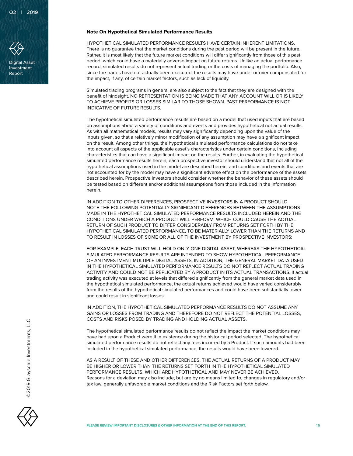

Digital Asset Investment Report

## **Note On Hypothetical Simulated Performance Results**

HYPOTHETICAL SIMULATED PERFORMANCE RESULTS HAVE CERTAIN INHERENT LIMITATIONS. There is no guarantee that the market conditions during the past period will be present in the future. Rather, it is most likely that the future market conditions will differ significantly from those of this past period, which could have a materially adverse impact on future returns. Unlike an actual performance record, simulated results do not represent actual trading or the costs of managing the portfolio. Also, since the trades have not actually been executed, the results may have under or over compensated for the impact, if any, of certain market factors, such as lack of liquidity.

Simulated trading programs in general are also subject to the fact that they are designed with the benefit of hindsight. NO REPRESENTATION IS BEING MADE THAT ANY ACCOUNT WILL OR IS LIKELY TO ACHIEVE PROFITS OR LOSSES SIMILAR TO THOSE SHOWN. PAST PERFORMANCE IS NOT INDICATIVE OF FUTURE RESULTS.

The hypothetical simulated performance results are based on a model that used inputs that are based on assumptions about a variety of conditions and events and provides hypothetical not actual results. As with all mathematical models, results may vary significantly depending upon the value of the inputs given, so that a relatively minor modification of any assumption may have a significant impact on the result. Among other things, the hypothetical simulated performance calculations do not take into account all aspects of the applicable asset's characteristics under certain conditions, including characteristics that can have a significant impact on the results. Further, in evaluating the hypothetical simulated performance results herein, each prospective investor should understand that not all of the hypothetical assumptions used in the model are described herein, and conditions and events that are not accounted for by the model may have a significant adverse effect on the performance of the assets described herein. Prospective investors should consider whether the behavior of these assets should be tested based on different and/or additional assumptions from those included in the information herein.

IN ADDITION TO OTHER DIFFERENCES, PROSPECTIVE INVESTORS IN A PRODUCT SHOULD NOTE THE FOLLOWING POTENTIALLY SIGNIFICANT DIFFERENCES BETWEEN THE ASSUMPTIONS MADE IN THE HYPOTHETICAL SIMULATED PERFORMANCE RESULTS INCLUDED HEREIN AND THE CONDITIONS UNDER WHICH A PRODUCT WILL PERFORM, WHICH COULD CAUSE THE ACTUAL RETURN OF SUCH PRODUCT TO DIFFER CONSIDERABLY FROM RETURNS SET FORTH BY THE HYPOTHETICAL SIMULATED PERFORMANCE, TO BE MATERIALLY LOWER THAN THE RETURNS AND TO RESULT IN LOSSES OF SOME OR ALL OF THE INVESTMENT BY PROSPECTIVE INVESTORS:

FOR EXAMPLE, EACH TRUST WILL HOLD ONLY ONE DIGITAL ASSET, WHEREAS THE HYPOTHETICAL SIMULATED PERFORMANCE RESULTS ARE INTENDED TO SHOW HYPOTHETICAL PERFORMANCE OF AN INVESTMENT MULTIPLE DIGITAL ASSETS. IN ADDITION, THE GENERAL MARKET DATA USED IN THE HYPOTHETICAL SIMULATED PERFORMANCE RESULTS DO NOT REFLECT ACTUAL TRADING ACTIVITY AND COULD NOT BE REPLICATED BY A PRODUCT IN ITS ACTUAL TRANSACTIONS. If actual trading activity was executed at levels that differed significantly from the general market data used in the hypothetical simulated performance, the actual returns achieved would have varied considerably from the results of the hypothetical simulated performances and could have been substantially lower and could result in significant losses.

IN ADDITION, THE HYPOTHETICAL SIMULATED PERFORMANCE RESULTS DO NOT ASSUME ANY GAINS OR LOSSES FROM TRADING AND THEREFORE DO NOT REFLECT THE POTENTIAL LOSSES, COSTS AND RISKS POSED BY TRADING AND HOLDING ACTUAL ASSETS.

The hypothetical simulated performance results do not reflect the impact the market conditions may have had upon a Product were it in existence during the historical period selected. The hypothetical simulated performance results do not reflect any fees incurred by a Product. If such amounts had been included in the hypothetical simulated performance, the results would have been lowered.

AS A RESULT OF THESE AND OTHER DIFFERENCES, THE ACTUAL RETURNS OF A PRODUCT MAY BE HIGHER OR LOWER THAN THE RETURNS SET FORTH IN THE HYPOTHETICAL SIMULATED PERFORMANCE RESULTS, WHICH ARE HYPOTHETICAL AND MAY NEVER BE ACHIEVED. Reasons for a deviation may also include, but are by no means limited to, changes in regulatory and/or tax law, generally unfavorable market conditions and the Risk Factors set forth below.

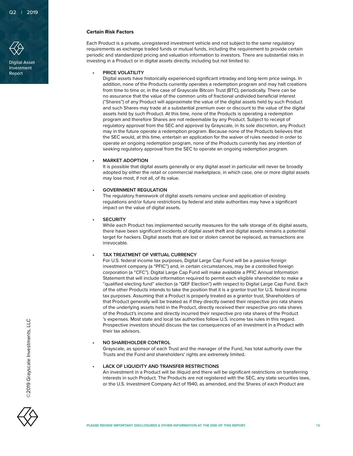

Digital Asset Investment Report

## **Certain Risk Factors**

Each Product is a private, unregistered investment vehicle and not subject to the same regulatory requirements as exchange traded funds or mutual funds, including the requirement to provide certain periodic and standardized pricing and valuation information to investors. There are substantial risks in investing in a Product or in digital assets directly, including but not limited to:

## **• PRICE VOLATILITY**

Digital assets have historically experienced significant intraday and long-term price swings. In addition, none of the Products currently operates a redemption program and may halt creations from time to time or, in the case of Grayscale Bitcoin Trust (BTC), periodically. There can be no assurance that the value of the common units of fractional undivided beneficial interest ("Shares") of any Product will approximate the value of the digital assets held by such Product and such Shares may trade at a substantial premium over or discount to the value of the digital assets held by such Product. At this time, none of the Products is operating a redemption program and therefore Shares are not redeemable by any Product. Subject to receipt of regulatory approval from the SEC and approval by Grayscale, in its sole discretion, any Product may in the future operate a redemption program. Because none of the Products believes that the SEC would, at this time, entertain an application for the waiver of rules needed in order to operate an ongoing redemption program, none of the Products currently has any intention of seeking regulatory approval from the SEC to operate an ongoing redemption program.

## **• MARKET ADOPTION**

It is possible that digital assets generally or any digital asset in particular will never be broadly adopted by either the retail or commercial marketplace, in which case, one or more digital assets may lose most, if not all, of its value.

## **• GOVERNMENT REGULATION**

The regulatory framework of digital assets remains unclear and application of existing regulations and/or future restrictions by federal and state authorities may have a significant impact on the value of digital assets.

#### **• SECURITY**

While each Product has implemented security measures for the safe storage of its digital assets, there have been significant incidents of digital asset theft and digital assets remains a potential target for hackers. Digital assets that are lost or stolen cannot be replaced, as transactions are irrevocable.

## **• TAX TREATMENT OF VIRTUAL CURRENCY**

For U.S. federal income tax purposes, Digital Large Cap Fund will be a passive foreign investment company (a "PFIC") and, in certain circumstances, may be a controlled foreign corporation (a "CFC"). Digital Large Cap Fund will make available a PFIC Annual Information Statement that will include information required to permit each eligible shareholder to make a "qualified electing fund" election (a "QEF Election") with respect to Digital Large Cap Fund. Each of the other Products intends to take the position that it is a grantor trust for U.S. federal income tax purposes. Assuming that a Product is properly treated as a grantor trust, Shareholders of that Product generally will be treated as if they directly owned their respective pro rata shares of the underlying assets held in the Product, directly received their respective pro rata shares of the Product's income and directly incurred their respective pro rata shares of the Product 's expenses. Most state and local tax authorities follow U.S. income tax rules in this regard. Prospective investors should discuss the tax consequences of an investment in a Product with their tax advisors.

#### **• NO SHAREHOLDER CONTROL**

Grayscale, as sponsor of each Trust and the manager of the Fund, has total authority over the Trusts and the Fund and shareholders' rights are extremely limited.

#### **• LACK OF LIQUIDITY AND TRANSFER RESTRICTIONS**

An investment in a Product will be illiquid and there will be significant restrictions on transferring interests in such Product. The Products are not registered with the SEC, any state securities laws, or the U.S. Investment Company Act of 1940, as amended, and the Shares of each Product are

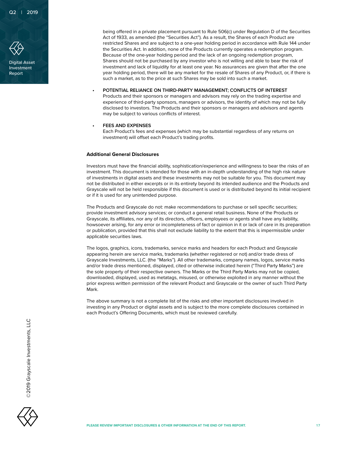

Digital Asset Investment Report

being offered in a private placement pursuant to Rule 506(c) under Regulation D of the Securities Act of 1933, as amended (the "Securities Act"). As a result, the Shares of each Product are restricted Shares and are subject to a one-year holding period in accordance with Rule 144 under the Securities Act. In addition, none of the Products currently operates a redemption program. Because of the one-year holding period and the lack of an ongoing redemption program, Shares should not be purchased by any investor who is not willing and able to bear the risk of investment and lack of liquidity for at least one year. No assurances are given that after the one year holding period, there will be any market for the resale of Shares of any Product, or, if there is such a market, as to the price at such Shares may be sold into such a market.

### **• POTENTIAL RELIANCE ON THIRD-PARTY MANAGEMENT; CONFLICTS OF INTEREST**

Products and their sponsors or managers and advisors may rely on the trading expertise and experience of third-party sponsors, managers or advisors, the identity of which may not be fully disclosed to investors. The Products and their sponsors or managers and advisors and agents may be subject to various conflicts of interest.

#### **• FEES AND EXPENSES**

Each Product's fees and expenses (which may be substantial regardless of any returns on investment) will offset each Product's trading profits.

#### **Additional General Disclosures**

Investors must have the financial ability, sophistication/experience and willingness to bear the risks of an investment. This document is intended for those with an in-depth understanding of the high risk nature of investments in digital assets and these investments may not be suitable for you. This document may not be distributed in either excerpts or in its entirety beyond its intended audience and the Products and Grayscale will not be held responsible if this document is used or is distributed beyond its initial recipient or if it is used for any unintended purpose.

The Products and Grayscale do not: make recommendations to purchase or sell specific securities; provide investment advisory services; or conduct a general retail business. None of the Products or Grayscale, its affiliates, nor any of its directors, officers, employees or agents shall have any liability, howsoever arising, for any error or incompleteness of fact or opinion in it or lack of care in its preparation or publication, provided that this shall not exclude liability to the extent that this is impermissible under applicable securities laws.

The logos, graphics, icons, trademarks, service marks and headers for each Product and Grayscale appearing herein are service marks, trademarks (whether registered or not) and/or trade dress of Grayscale Investments, LLC. (the "Marks"). All other trademarks, company names, logos, service marks and/or trade dress mentioned, displayed, cited or otherwise indicated herein ("Third Party Marks") are the sole property of their respective owners. The Marks or the Third Party Marks may not be copied, downloaded, displayed, used as metatags, misused, or otherwise exploited in any manner without the prior express written permission of the relevant Product and Grayscale or the owner of such Third Party Mark.

The above summary is not a complete list of the risks and other important disclosures involved in investing in any Product or digital assets and is subject to the more complete disclosures contained in each Product's Offering Documents, which must be reviewed carefully.